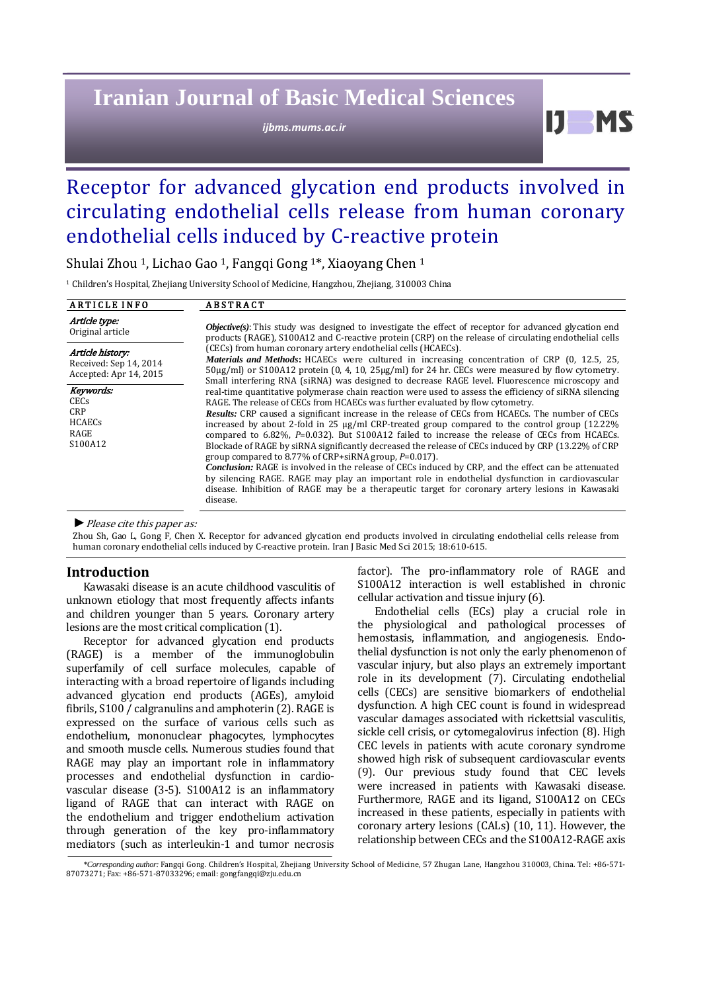# **Iranian Journal of Basic Medical Sciences**

*ijbms.mums.ac.ir*

Ш

## Receptor for advanced glycation end products involved in circulating endothelial cells release from human coronary endothelial cells induced by C-reactive protein

Shulai Zhou 1, Lichao Gao 1, Fangqi Gong 1\*, Xiaoyang Chen <sup>1</sup>

<sup>1</sup> Children's Hospital, Zhejiang University School of Medicine, Hangzhou, Zhejiang, 310003 China

| <b>ARTICLE INFO</b>                                                  | <b>ABSTRACT</b>                                                                                                                                                                                                                                                                                                                                                                                                                                                                                                                                                                                                                                                                                                                                                                                                                                                                                                                                                                                                                                                                                                                                                                                                                                                                                                                                                                                                                                                                                                                                                                                                                     |
|----------------------------------------------------------------------|-------------------------------------------------------------------------------------------------------------------------------------------------------------------------------------------------------------------------------------------------------------------------------------------------------------------------------------------------------------------------------------------------------------------------------------------------------------------------------------------------------------------------------------------------------------------------------------------------------------------------------------------------------------------------------------------------------------------------------------------------------------------------------------------------------------------------------------------------------------------------------------------------------------------------------------------------------------------------------------------------------------------------------------------------------------------------------------------------------------------------------------------------------------------------------------------------------------------------------------------------------------------------------------------------------------------------------------------------------------------------------------------------------------------------------------------------------------------------------------------------------------------------------------------------------------------------------------------------------------------------------------|
| Article type:<br>Original article                                    | <b>Objective(s):</b> This study was designed to investigate the effect of receptor for advanced glycation end<br>products (RAGE), S100A12 and C-reactive protein (CRP) on the release of circulating endothelial cells<br>(CECs) from human coronary artery endothelial cells (HCAECs).<br><i>Materials and Methods</i> : HCAECs were cultured in increasing concentration of CRP (0, 12.5, 25,<br>$50\mu$ g/ml) or S100A12 protein (0, 4, 10, 25 $\mu$ g/ml) for 24 hr. CECs were measured by flow cytometry.<br>Small interfering RNA (siRNA) was designed to decrease RAGE level. Fluorescence microscopy and<br>real-time quantitative polymerase chain reaction were used to assess the efficiency of siRNA silencing<br>RAGE. The release of CECs from HCAECs was further evaluated by flow cytometry.<br><b>Results:</b> CRP caused a significant increase in the release of CECs from HCAECs. The number of CECs<br>increased by about 2-fold in 25 $\mu$ g/ml CRP-treated group compared to the control group (12.22%)<br>compared to 6.82%, P=0.032). But S100A12 failed to increase the release of CECs from HCAECs.<br>Blockade of RAGE by siRNA significantly decreased the release of CECs induced by CRP (13.22% of CRP<br>group compared to 8.77% of CRP+siRNA group, $P=0.017$ ).<br><b>Conclusion:</b> RAGE is involved in the release of CECs induced by CRP, and the effect can be attenuated<br>by silencing RAGE. RAGE may play an important role in endothelial dysfunction in cardiovascular<br>disease. Inhibition of RAGE may be a therapeutic target for coronary artery lesions in Kawasaki<br>disease. |
| Article history:<br>Received: Sep 14, 2014<br>Accepted: Apr 14, 2015 |                                                                                                                                                                                                                                                                                                                                                                                                                                                                                                                                                                                                                                                                                                                                                                                                                                                                                                                                                                                                                                                                                                                                                                                                                                                                                                                                                                                                                                                                                                                                                                                                                                     |
| Keywords:<br><b>CECs</b><br>CRP<br><b>HCAECs</b><br>RAGE<br>S100A12  |                                                                                                                                                                                                                                                                                                                                                                                                                                                                                                                                                                                                                                                                                                                                                                                                                                                                                                                                                                                                                                                                                                                                                                                                                                                                                                                                                                                                                                                                                                                                                                                                                                     |

*►*Please cite this paper as:

Zhou Sh, Gao L, Gong F, Chen X. Receptor for advanced glycation end products involved in circulating endothelial cells release from human coronary endothelial cells induced by C-reactive protein. Iran J Basic Med Sci 2015; 18:610-615.

#### **Introduction**

Kawasaki disease is an acute childhood vasculitis of unknown etiology that most frequently affects infants and children younger than 5 years. Coronary artery lesions are the most critical complication (1).

Receptor for advanced glycation end products (RAGE) is a member of the immunoglobulin superfamily of cell surface molecules, capable of interacting with a broad repertoire of ligands including advanced glycation end products (AGEs), amyloid fibrils, S100 / calgranulins and amphoterin (2). RAGE is expressed on the surface of various cells such as endothelium, mononuclear phagocytes, lymphocytes and smooth muscle cells. Numerous studies found that RAGE may play an important role in inflammatory processes and endothelial dysfunction in cardiovascular disease (3-5). S100A12 is an inflammatory ligand of RAGE that can interact with RAGE on the endothelium and trigger endothelium activation through generation of the key pro-inflammatory mediators (such as interleukin-1 and tumor necrosis

factor). The pro-inflammatory role of RAGE and S100A12 interaction is well established in chronic cellular activation and tissue injury (6).

Endothelial cells (ECs) play a crucial role in the physiological and pathological processes of hemostasis, inflammation, and angiogenesis. Endothelial dysfunction is not only the early phenomenon of vascular injury, but also plays an extremely important role in its development (7). Circulating endothelial cells (CECs) are sensitive biomarkers of endothelial dysfunction. A high CEC count is found in widespread vascular damages associated with rickettsial vasculitis, sickle cell crisis, or cytomegalovirus infection (8). High CEC levels in patients with acute coronary syndrome showed high risk of subsequent cardiovascular events (9). Our previous study found that CEC levels were increased in patients with Kawasaki disease. Furthermore, RAGE and its ligand, S100A12 on CECs increased in these patients, especially in patients with coronary artery lesions (CALs) (10, 11). However, the relationship between CECs and the S100A12-RAGE axis

*<sup>\*</sup>Corresponding author:* Fangqi Gong. Children's Hospital, Zhejiang University School of Medicine, 57 Zhugan Lane, Hangzhou 310003, China. Tel: +86-571- 87073271; Fax: +86-571-87033296; email[: gongfangqi@zju.edu.cn](mailto:gongfangqi@zju.edu.cn)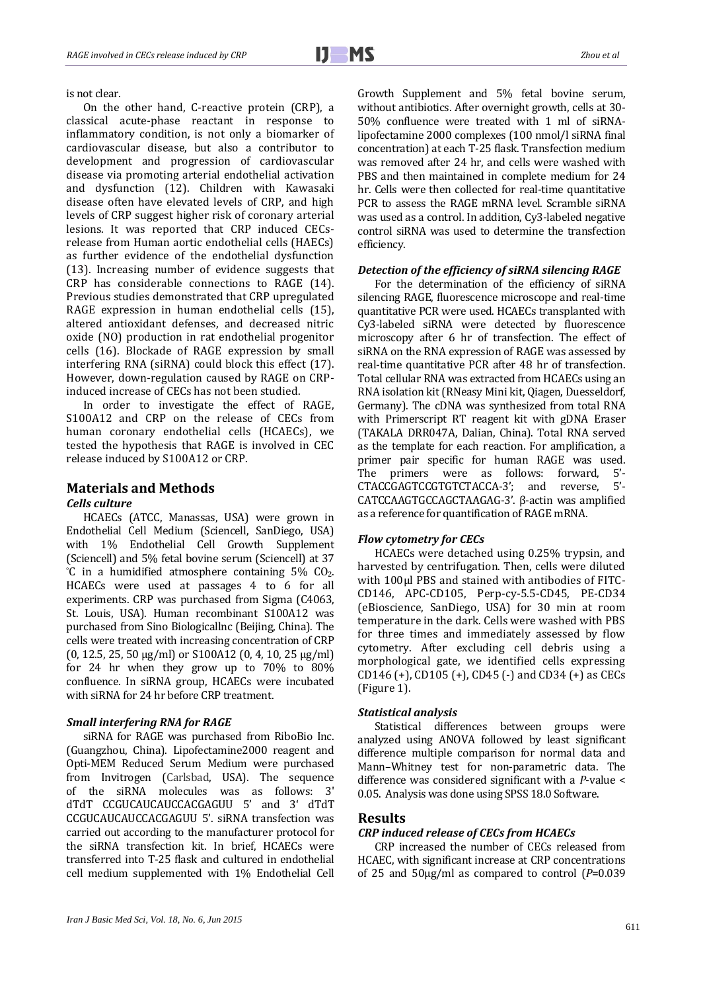is not clear.

On the other hand, C-reactive protein (CRP), a classical acute-phase reactant in response to inflammatory condition, is not only a biomarker of cardiovascular disease, but also a contributor to development and progression of cardiovascular disease via promoting arterial endothelial activation and dysfunction (12). Children with Kawasaki disease often have elevated levels of CRP, and high levels of CRP suggest higher risk of coronary arterial lesions. It was reported that CRP induced CECsrelease from Human aortic endothelial cells (HAECs) as further evidence of the endothelial dysfunction (13). Increasing number of evidence suggests that CRP has considerable connections to RAGE (14). Previous studies demonstrated that CRP upregulated RAGE expression in human endothelial cells (15), altered antioxidant defenses, and decreased nitric oxide (NO) production in rat endothelial progenitor cells (16). Blockade of RAGE expression by small interfering RNA (siRNA) could block this effect (17). However, down-regulation caused by RAGE on CRPinduced increase of CECs has not been studied.

In order to investigate the effect of RAGE, S100A12 and CRP on the release of CECs from human coronary endothelial cells (HCAECs), we tested the hypothesis that RAGE is involved in CEC release induced by S100A12 or CRP.

## **Materials and Methods**

## *Cells culture*

HCAECs (ATCC, Manassas, USA) were grown in Endothelial Cell Medium (Sciencell, SanDiego, USA) with 1% Endothelial Cell Growth Supplement (Sciencell) and 5% fetal bovine serum (Sciencell) at 37  $^{\circ}$ C in a humidified atmosphere containing 5% CO<sub>2</sub>. HCAECs were used at passages 4 to 6 for all experiments. CRP was purchased from Sigma (C4063, St. Louis, USA). Human recombinant S100A12 was purchased from Sino Biologicallnc (Beijing, China). The cells were treated with increasing concentration of CRP (0, 12.5, 25, 50 μg/ml) or S100A12 (0, 4, 10, 25 μg/ml) for 24 hr when they grow up to 70% to 80% confluence. In siRNA group, HCAECs were incubated with siRNA for 24 hr before CRP treatment.

#### *Small interfering RNA for RAGE*

siRNA for RAGE was purchased from RiboBio Inc. (Guangzhou, China). Lipofectamine2000 reagent and Opti-MEM Reduced Serum Medium were purchased from Invitrogen (Carlsbad, USA). The sequence of the siRNA molecules was as follows: 3' dTdT CCGUCAUCAUCCACGAGUU 5' and 3' dTdT CCGUCAUCAUCCACGAGUU 5'. siRNA transfection was carried out according to the manufacturer protocol for the siRNA transfection kit. In brief, HCAECs were transferred into T-25 flask and cultured in endothelial cell medium supplemented with 1% Endothelial Cell

Growth Supplement and 5% fetal bovine serum, without antibiotics. After overnight growth, cells at 30- 50% confluence were treated with 1 ml of siRNAlipofectamine 2000 complexes (100 nmol/l siRNA final concentration) at each T-25 flask. Transfection medium was removed after 24 hr, and cells were washed with PBS and then maintained in complete medium for 24 hr. Cells were then collected for real-time quantitative PCR to assess the RAGE mRNA level. Scramble siRNA was used as a control. In addition, Cy3-labeled negative control siRNA was used to determine the transfection efficiency.

#### *Detection of the efficiency of siRNA silencing RAGE*

For the determination of the efficiency of siRNA silencing RAGE, fluorescence microscope and real-time quantitative PCR were used. HCAECs transplanted with Cy3-labeled siRNA were detected by fluorescence microscopy after 6 hr of transfection. The effect of siRNA on the RNA expression of RAGE was assessed by real-time quantitative PCR after 48 hr of transfection. Total cellular RNA was extracted from HCAECs using an RNA isolation kit (RNeasy Mini kit, Qiagen, Duesseldorf, Germany). The cDNA was synthesized from total RNA with Primerscript RT reagent kit with gDNA Eraser (TAKALA DRR047A, Dalian, China). Total RNA served as the template for each reaction. For amplification, a primer pair specific for human RAGE was used. The primers were as follows: forward, 5'-<br>CTACCGAGTCCGTGTCTACCA-3' and reverse 5'-CTACCGAGTCCGTGTCTACCA-3': and reverse, CATCCAAGTGCCAGCTAAGAG-3'. β-actin was amplified as a reference for quantification of RAGE mRNA.

#### *Flow cytometry for CECs*

HCAECs were detached using 0.25% trypsin, and harvested by centrifugation. Then, cells were diluted with 100μl PBS and stained with antibodies of FITC-CD146, APC-CD105, Perp-cy-5.5-CD45, PE-CD34 (eBioscience, SanDiego, USA) for 30 min at room temperature in the dark. Cells were washed with PBS for three times and immediately assessed by flow cytometry. After excluding cell debris using a morphological gate, we identified cells expressing CD146 (+), CD105 (+), CD45 (-) and CD34 (+) as CECs (Figure 1).

#### *Statistical analysis*

Statistical differences between groups were analyzed using ANOVA followed by least significant difference multiple comparison for normal data and Mann–Whitney test for non-parametric data. The difference was considered significant with a *P*-value < 0.05. Analysis was done using SPSS 18.0 Software.

#### **Results**

#### *CRP induced release of CECs from HCAECs*

CRP increased the number of CECs released from HCAEC, with significant increase at CRP concentrations of 25 and 50μg/ml as compared to control (*P*=0.039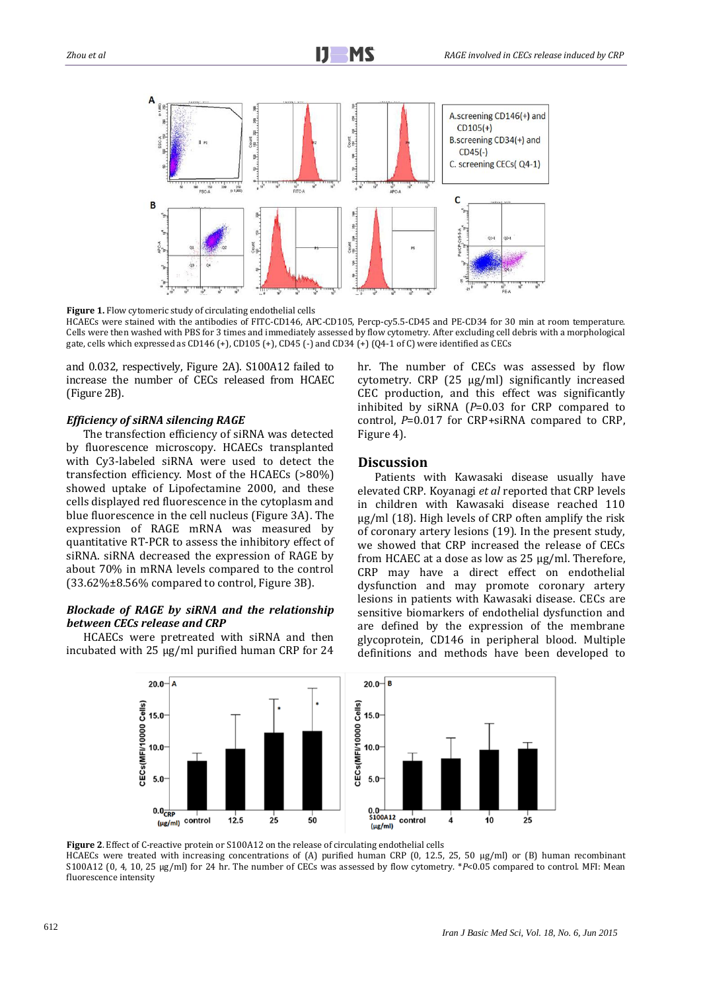

**Figure 1.** Flow cytomeric study of circulating endothelial cells

HCAECs were stained with the antibodies of FITC-CD146, APC-CD105, Percp-cy5.5-CD45 and PE-CD34 for 30 min at room temperature. Cells were then washed with PBS for 3 times and immediately assessed by flow cytometry. After excluding cell debris with a morphological gate, cells which expressed as CD146 (+), CD105 (+), CD45 (-) and CD34 (+) (Q4-1 of C) were identified as CECs

and 0.032, respectively, Figure 2A). S100A12 failed to increase the number of CECs released from HCAEC (Figure 2B).

#### *Efficiency of siRNA silencing RAGE*

The transfection efficiency of siRNA was detected by fluorescence microscopy. HCAECs transplanted with Cy3-labeled siRNA were used to detect the transfection efficiency. Most of the HCAECs (>80%) showed uptake of Lipofectamine 2000, and these cells displayed red fluorescence in the cytoplasm and blue fluorescence in the cell nucleus (Figure 3A). The expression of RAGE mRNA was measured by quantitative RT-PCR to assess the inhibitory effect of siRNA. siRNA decreased the expression of RAGE by about 70% in mRNA levels compared to the control (33.62%±8.56% compared to control, Figure 3B).

#### *Blockade of RAGE by siRNA and the relationship between CECs release and CRP*

HCAECs were pretreated with siRNA and then incubated with 25 μg/ml purified human CRP for 24 hr. The number of CECs was assessed by flow cytometry. CRP (25 μg/ml) significantly increased CEC production, and this effect was significantly inhibited by siRNA (*P*=0.03 for CRP compared to control, *P*=0.017 for CRP+siRNA compared to CRP, Figure 4).

#### **Discussion**

Patients with Kawasaki disease usually have elevated CRP. Koyanagi *et al* reported that CRP levels in children with Kawasaki disease reached 110 μg/ml (18). High levels of CRP often amplify the risk of coronary artery lesions (19). In the present study, we showed that CRP increased the release of CECs from HCAEC at a dose as low as 25 μg/ml. Therefore, CRP may have a direct effect on endothelial dysfunction and may promote coronary artery lesions in patients with Kawasaki disease. CECs are sensitive biomarkers of endothelial dysfunction and are defined by the expression of the membrane glycoprotein, CD146 in peripheral blood. Multiple definitions and methods have been developed to



**Figure 2**. Effect of C-reactive protein or S100A12 on the release of circulating endothelial cells HCAECs were treated with increasing concentrations of (A) purified human CRP (0, 12.5, 25, 50 μg/ml) or (B) human recombinant S100A12 (0, 4, 10, 25 μg/ml) for 24 hr. The number of CECs was assessed by flow cytometry. \**P*<0.05 compared to control. MFI: Mean

fluorescence intensity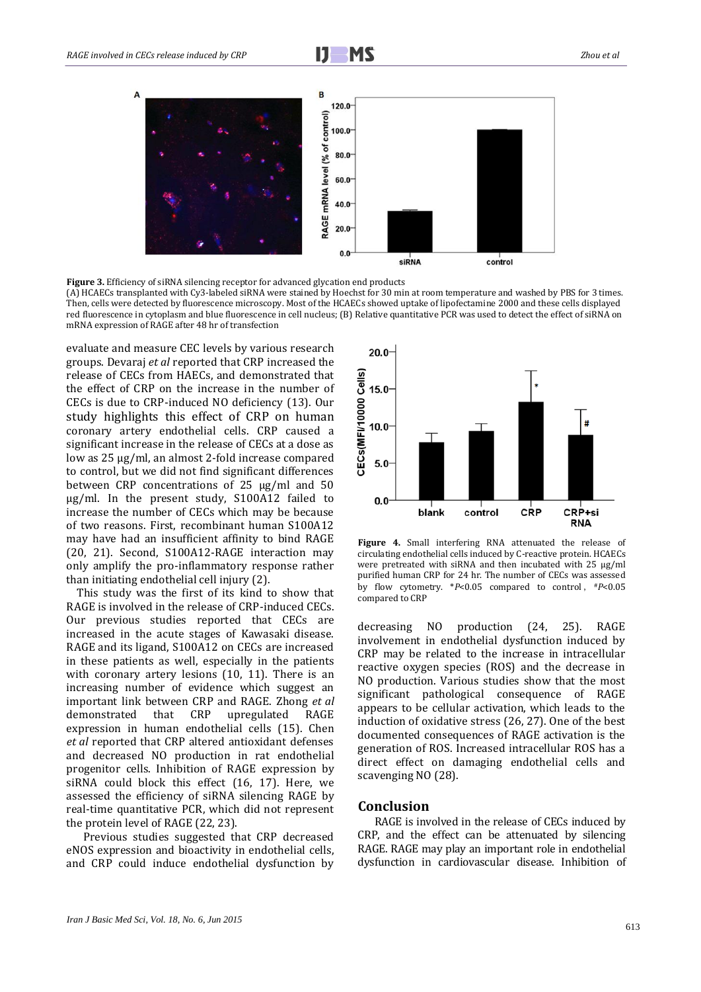

**Figure 3.** Efficiency of siRNA silencing receptor for advanced glycation end products

(A) HCAECs transplanted with Cy3-labeled siRNA were stained by Hoechst for 30 min at room temperature and washed by PBS for 3 times. Then, cells were detected by fluorescence microscopy. Most of the HCAECs showed uptake of lipofectamine 2000 and these cells displayed red fluorescence in cytoplasm and blue fluorescence in cell nucleus; (B) Relative quantitative PCR was used to detect the effect of siRNA on mRNA expression of RAGE after 48 hr of transfection

evaluate and measure CEC levels by various research groups. Devaraj *et al* reported that CRP increased the release of CECs from HAECs, and demonstrated that the effect of CRP on the increase in the number of CECs is due to CRP-induced NO deficiency (13). Our study highlights this effect of CRP on human coronary artery endothelial cells. CRP caused a significant increase in the release of CECs at a dose as low as 25 μg/ml, an almost 2-fold increase compared to control, but we did not find significant differences between CRP concentrations of 25 μg/ml and 50 μg/ml. In the present study, S100A12 failed to increase the number of CECs which may be because of two reasons. First, recombinant human S100A12 may have had an insufficient affinity to bind RAGE (20, 21). Second, S100A12-RAGE interaction may only amplify the pro-inflammatory response rather than initiating endothelial cell injury (2).

 This study was the first of its kind to show that RAGE is involved in the release of CRP-induced CECs. Our previous studies reported that CECs are increased in the acute stages of Kawasaki disease. RAGE and its ligand, S100A12 on CECs are increased in these patients as well, especially in the patients with coronary artery lesions (10, 11). There is an increasing number of evidence which suggest an important link between CRP and RAGE. Zhong *et al* demonstrated that CRP upregulated RAGE expression in human endothelial cells (15). Chen *et al* reported that CRP altered antioxidant defenses and decreased NO production in rat endothelial progenitor cells. Inhibition of RAGE expression by siRNA could block this effect (16, 17). Here, we assessed the efficiency of siRNA silencing RAGE by real-time quantitative PCR, which did not represent the protein level of RAGE (22, 23).

Previous studies suggested that CRP decreased eNOS expression and bioactivity in endothelial cells, and CRP could induce endothelial dysfunction by



**Figure 4.** Small interfering RNA attenuated the release of circulating endothelial cells induced by C-reactive protein. HCAECs were pretreated with siRNA and then incubated with 25 μg/ml purified human CRP for 24 hr. The number of CECs was assessed by flow cytometry. \**P*<0.05 compared to control, \**P*<0.05 compared to CRP

decreasing NO production (24, 25). RAGE involvement in endothelial dysfunction induced by CRP may be related to the increase in intracellular reactive oxygen species (ROS) and the decrease in NO production. Various studies show that the most significant pathological consequence of RAGE appears to be cellular activation, which leads to the induction of oxidative stress (26, 27). One of the best documented consequences of RAGE activation is the generation of ROS. Increased intracellular ROS has a direct effect on damaging endothelial cells and scavenging NO (28).

#### **Conclusion**

RAGE is involved in the release of CECs induced by CRP, and the effect can be attenuated by silencing RAGE. RAGE may play an important role in endothelial dysfunction in cardiovascular disease. Inhibition of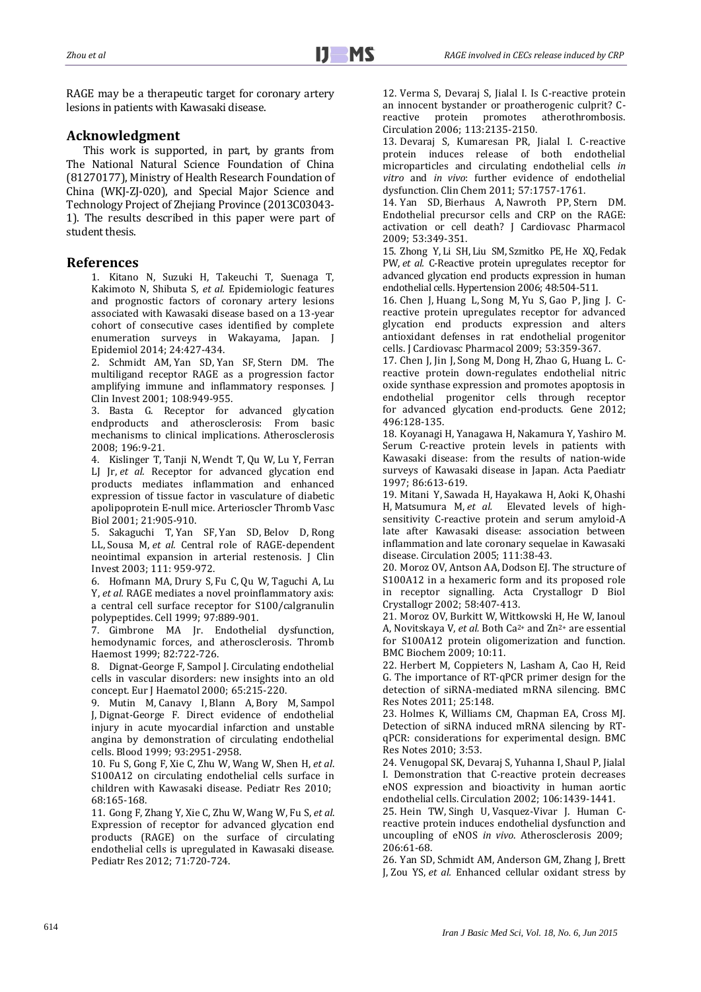RAGE may be a therapeutic target for coronary artery lesions in patients with Kawasaki disease.

## **Acknowledgment**

This work is supported, in part, by grants from The National Natural Science Foundation of China (81270177), Ministry of Health Research Foundation of China (WKJ-ZJ-020), and Special Major Science and Technology Project of Zhejiang Province (2013C03043- 1). The results described in this paper were part of student thesis.

### **References**

1. Kitano N, Suzuki H, Takeuchi T, Suenaga T, Kakimoto N, Shibuta S, *et al.* Epidemiologic features and prognostic factors of coronary artery lesions associated with Kawasaki disease based on a 13-year cohort of consecutive cases identified by complete enumeration surveys in Wakayama, Japan. J Epidemiol 2014; 24:427-434.

2. [Schmidt](http://www.ncbi.nlm.nih.gov/pubmed?term=Schmidt%20AM%5BAuthor%5D&cauthor=true&cauthor_uid=11581294) AM, [Yan](http://www.ncbi.nlm.nih.gov/pubmed?term=Yan%20SD%5BAuthor%5D&cauthor=true&cauthor_uid=11581294) SD, [Yan](http://www.ncbi.nlm.nih.gov/pubmed?term=Yan%20SF%5BAuthor%5D&cauthor=true&cauthor_uid=11581294) SF, [Stern](http://www.ncbi.nlm.nih.gov/pubmed?term=Stern%20DM%5BAuthor%5D&cauthor=true&cauthor_uid=11581294) DM. The multiligand receptor RAGE as a progression factor amplifying immune and inflammatory responses. J Clin Invest 2001; 108:949-955.

3. Basta G. Receptor for advanced glycation endproducts and atherosclerosis: From basic mechanisms to clinical implications. Atherosclerosis 2008; 196:9-21.

4. [Kislinger](http://www.ncbi.nlm.nih.gov/pubmed?term=Kislinger%20T%5BAuthor%5D&cauthor=true&cauthor_uid=11397695) T, [Tanji](http://www.ncbi.nlm.nih.gov/pubmed?term=Tanji%20N%5BAuthor%5D&cauthor=true&cauthor_uid=11397695) N, [Wendt](http://www.ncbi.nlm.nih.gov/pubmed?term=Wendt%20T%5BAuthor%5D&cauthor=true&cauthor_uid=11397695) T, [Qu](http://www.ncbi.nlm.nih.gov/pubmed?term=Qu%20W%5BAuthor%5D&cauthor=true&cauthor_uid=11397695) W, [Lu](http://www.ncbi.nlm.nih.gov/pubmed?term=Lu%20Y%5BAuthor%5D&cauthor=true&cauthor_uid=11397695) Y, [Ferran](http://www.ncbi.nlm.nih.gov/pubmed?term=Ferran%20LJ%20Jr%5BAuthor%5D&cauthor=true&cauthor_uid=11397695) LJ [Jr,](http://www.ncbi.nlm.nih.gov/pubmed?term=Ferran%20LJ%20Jr%5BAuthor%5D&cauthor=true&cauthor_uid=11397695) *et al.* Receptor for advanced glycation end products mediates inflammation and enhanced expression of tissue factor in vasculature of diabetic apolipoprotein E-null mice. Arterioscler Thromb Vasc Biol 2001; 21:905-910.

5. [Sakaguchi](http://www.ncbi.nlm.nih.gov/pubmed?term=Sakaguchi%20T%5BAuthor%5D&cauthor=true&cauthor_uid=12671045) T, [Yan](http://www.ncbi.nlm.nih.gov/pubmed?term=Yan%20SF%5BAuthor%5D&cauthor=true&cauthor_uid=12671045) SF, [Yan](http://www.ncbi.nlm.nih.gov/pubmed?term=Yan%20SD%5BAuthor%5D&cauthor=true&cauthor_uid=12671045) SD, [Belov](http://www.ncbi.nlm.nih.gov/pubmed?term=Belov%20D%5BAuthor%5D&cauthor=true&cauthor_uid=12671045) D, [Rong](http://www.ncbi.nlm.nih.gov/pubmed?term=Rong%20LL%5BAuthor%5D&cauthor=true&cauthor_uid=12671045) [LL,](http://www.ncbi.nlm.nih.gov/pubmed?term=Rong%20LL%5BAuthor%5D&cauthor=true&cauthor_uid=12671045) [Sousa](http://www.ncbi.nlm.nih.gov/pubmed?term=Sousa%20M%5BAuthor%5D&cauthor=true&cauthor_uid=12671045) M, *et al.* Central role of RAGE-dependent neointimal expansion in arterial restenosis. J Clin Invest 2003; 111: 959-972.

6. [Hofmann](http://www.ncbi.nlm.nih.gov/pubmed?term=Hofmann%20MA%5BAuthor%5D&cauthor=true&cauthor_uid=10399917) MA, [Drury](http://www.ncbi.nlm.nih.gov/pubmed?term=Drury%20S%5BAuthor%5D&cauthor=true&cauthor_uid=10399917) S, [Fu](http://www.ncbi.nlm.nih.gov/pubmed?term=Fu%20C%5BAuthor%5D&cauthor=true&cauthor_uid=10399917) C, [Qu](http://www.ncbi.nlm.nih.gov/pubmed?term=Qu%20W%5BAuthor%5D&cauthor=true&cauthor_uid=10399917) W, [Taguchi](http://www.ncbi.nlm.nih.gov/pubmed?term=Taguchi%20A%5BAuthor%5D&cauthor=true&cauthor_uid=10399917) A, [Lu](http://www.ncbi.nlm.nih.gov/pubmed?term=Lu%20Y%5BAuthor%5D&cauthor=true&cauthor_uid=10399917) [Y,](http://www.ncbi.nlm.nih.gov/pubmed?term=Lu%20Y%5BAuthor%5D&cauthor=true&cauthor_uid=10399917) *et al.* RAGE mediates a novel proinflammatory axis: a central cell surface receptor for S100/calgranulin polypeptides. Cell 1999; 97:889-901.

7. [Gimbrone](http://www.ncbi.nlm.nih.gov/pubmed?term=Gimbrone%20MA%20Jr%5BAuthor%5D&cauthor=true&cauthor_uid=10605774) MA Jr. Endothelial dysfunction, hemodynamic forces, and atherosclerosis. Thromb Haemost 1999; 82:722-726.

8. Dignat-George F, Sampol J. Circulating endothelial cells in vascular disorders: new insights into an old concept. Eur J Haematol 2000; 65:215-220.

9. [Mutin](http://www.ncbi.nlm.nih.gov/pubmed?term=Mutin%20M%5BAuthor%5D&cauthor=true&cauthor_uid=10216090) M, [Canavy](http://www.ncbi.nlm.nih.gov/pubmed?term=Canavy%20I%5BAuthor%5D&cauthor=true&cauthor_uid=10216090) I, [Blann](http://www.ncbi.nlm.nih.gov/pubmed?term=Blann%20A%5BAuthor%5D&cauthor=true&cauthor_uid=10216090) A, [Bory](http://www.ncbi.nlm.nih.gov/pubmed?term=Bory%20M%5BAuthor%5D&cauthor=true&cauthor_uid=10216090) M, [Sampol](http://www.ncbi.nlm.nih.gov/pubmed?term=Sampol%20J%5BAuthor%5D&cauthor=true&cauthor_uid=10216090) [J,](http://www.ncbi.nlm.nih.gov/pubmed?term=Sampol%20J%5BAuthor%5D&cauthor=true&cauthor_uid=10216090) [Dignat-George](http://www.ncbi.nlm.nih.gov/pubmed?term=Dignat-George%20F%5BAuthor%5D&cauthor=true&cauthor_uid=10216090) F. Direct evidence of endothelial injury in acute myocardial infarction and unstable angina by demonstration of circulating endothelial cells. Blood 1999; 93:2951-2958.

10. [Fu](http://www.ncbi.nlm.nih.gov/pubmed?term=Fu%20S%5BAuthor%5D&cauthor=true&cauthor_uid=20461025) S, [Gong](http://www.ncbi.nlm.nih.gov/pubmed?term=Gong%20F%5BAuthor%5D&cauthor=true&cauthor_uid=20461025) F, [Xie](http://www.ncbi.nlm.nih.gov/pubmed?term=Xie%20C%5BAuthor%5D&cauthor=true&cauthor_uid=20461025) C, [Zhu](http://www.ncbi.nlm.nih.gov/pubmed?term=Zhu%20W%5BAuthor%5D&cauthor=true&cauthor_uid=20461025) W, [Wang](http://www.ncbi.nlm.nih.gov/pubmed?term=Wang%20W%5BAuthor%5D&cauthor=true&cauthor_uid=20461025) W, [Shen](http://www.ncbi.nlm.nih.gov/pubmed?term=Shen%20H%5BAuthor%5D&cauthor=true&cauthor_uid=20461025) H, *et al*. S100A12 on circulating endothelial cells surface in children with Kawasaki disease. Pediatr Res 2010; 68:165-168.

11. [Gong](http://www.ncbi.nlm.nih.gov/pubmed?term=Gong%20F%5BAuthor%5D&cauthor=true&cauthor_uid=22337222) F, [Zhang](http://www.ncbi.nlm.nih.gov/pubmed?term=Zhang%20Y%5BAuthor%5D&cauthor=true&cauthor_uid=22337222) Y, [Xie](http://www.ncbi.nlm.nih.gov/pubmed?term=Xie%20C%5BAuthor%5D&cauthor=true&cauthor_uid=22337222) C, [Zhu](http://www.ncbi.nlm.nih.gov/pubmed?term=Zhu%20W%5BAuthor%5D&cauthor=true&cauthor_uid=22337222) W, [Wang](http://www.ncbi.nlm.nih.gov/pubmed?term=Wang%20W%5BAuthor%5D&cauthor=true&cauthor_uid=22337222) W, [Fu](http://www.ncbi.nlm.nih.gov/pubmed?term=Fu%20S%5BAuthor%5D&cauthor=true&cauthor_uid=22337222) S, *[et](http://www.ncbi.nlm.nih.gov/pubmed?term=Shen%20H%5BAuthor%5D&cauthor=true&cauthor_uid=22337222) al*. Expression of receptor for advanced glycation end products (RAGE) on the surface of circulating endothelial cells is upregulated in Kawasaki disease. Pediatr Res 2012; 71:720-724.

12. Verma S, Devaraj S, Jialal I. Is C-reactive protein an innocent bystander or proatherogenic culprit? Creactive protein promotes atherothrombosis. Circulation 2006; 113:2135-2150.

13. Devaraj S, Kumaresan PR, Jialal I. C-reactive protein induces release of both endothelial microparticles and circulating endothelial cells *in vitro* and *in vivo*: further evidence of endothelial dysfunction. Clin Chem 2011; 57:1757-1761.

14. [Yan](http://www.ncbi.nlm.nih.gov/pubmed?term=Yan%20SD%5BAuthor%5D&cauthor=true&cauthor_uid=19276986) SD, [Bierhaus](http://www.ncbi.nlm.nih.gov/pubmed?term=Bierhaus%20A%5BAuthor%5D&cauthor=true&cauthor_uid=19276986) A, [Nawroth](http://www.ncbi.nlm.nih.gov/pubmed?term=Nawroth%20PP%5BAuthor%5D&cauthor=true&cauthor_uid=19276986) PP, [Stern](http://www.ncbi.nlm.nih.gov/pubmed?term=Stern%20DM%5BAuthor%5D&cauthor=true&cauthor_uid=19276986) DM. Endothelial precursor cells and CRP on the RAGE: activation or cell death? J Cardiovasc Pharmacol 2009; 53:349-351.

15. [Zhong](http://www.ncbi.nlm.nih.gov/pubmed?term=Zhong%20Y%5BAuthor%5D&cauthor=true&cauthor_uid=16847147) Y, Li [SH,](http://www.ncbi.nlm.nih.gov/pubmed?term=Li%20SH%5BAuthor%5D&cauthor=true&cauthor_uid=16847147) Liu [SM,](http://www.ncbi.nlm.nih.gov/pubmed?term=Liu%20SM%5BAuthor%5D&cauthor=true&cauthor_uid=16847147) [Szmitko](http://www.ncbi.nlm.nih.gov/pubmed?term=Szmitko%20PE%5BAuthor%5D&cauthor=true&cauthor_uid=16847147) PE, He [XQ,](http://www.ncbi.nlm.nih.gov/pubmed?term=He%20XQ%5BAuthor%5D&cauthor=true&cauthor_uid=16847147) [Fedak](http://www.ncbi.nlm.nih.gov/pubmed?term=Fedak%20PW%5BAuthor%5D&cauthor=true&cauthor_uid=16847147) [PW,](http://www.ncbi.nlm.nih.gov/pubmed?term=Fedak%20PW%5BAuthor%5D&cauthor=true&cauthor_uid=16847147) *et al.* C-Reactive protein upregulates receptor for advanced glycation end products expression in human endothelial cells. Hypertension 2006; 48:504-511.

16. [Chen](http://www.ncbi.nlm.nih.gov/pubmed?term=Chen%20J%5BAuthor%5D&cauthor=true&cauthor_uid=19276989) J, [Huang](http://www.ncbi.nlm.nih.gov/pubmed?term=Huang%20L%5BAuthor%5D&cauthor=true&cauthor_uid=19276989) L, [Song](http://www.ncbi.nlm.nih.gov/pubmed?term=Song%20M%5BAuthor%5D&cauthor=true&cauthor_uid=19276989) M, [Yu](http://www.ncbi.nlm.nih.gov/pubmed?term=Yu%20S%5BAuthor%5D&cauthor=true&cauthor_uid=19276989) S, [Gao](http://www.ncbi.nlm.nih.gov/pubmed?term=Gao%20P%5BAuthor%5D&cauthor=true&cauthor_uid=19276989) P, [Jing](http://www.ncbi.nlm.nih.gov/pubmed?term=Jing%20J%5BAuthor%5D&cauthor=true&cauthor_uid=19276989) J. Creactive protein upregulates receptor for advanced glycation end products expression and alters antioxidant defenses in rat endothelial progenitor cells. J Cardiovasc Pharmacol 2009; 53:359-367.

17. [Chen](http://www.ncbi.nlm.nih.gov/pubmed?term=Chen%20J%5BAuthor%5D&cauthor=true&cauthor_uid=22301267) J, [Jin](http://www.ncbi.nlm.nih.gov/pubmed?term=Jin%20J%5BAuthor%5D&cauthor=true&cauthor_uid=22301267) J, [Song](http://www.ncbi.nlm.nih.gov/pubmed?term=Song%20M%5BAuthor%5D&cauthor=true&cauthor_uid=22301267) M, [Dong](http://www.ncbi.nlm.nih.gov/pubmed?term=Dong%20H%5BAuthor%5D&cauthor=true&cauthor_uid=22301267) H, [Zhao](http://www.ncbi.nlm.nih.gov/pubmed?term=Zhao%20G%5BAuthor%5D&cauthor=true&cauthor_uid=22301267) G, [Huang](http://www.ncbi.nlm.nih.gov/pubmed?term=Huang%20L%5BAuthor%5D&cauthor=true&cauthor_uid=22301267) L. Creactive protein down-regulates endothelial nitric oxide synthase expression and promotes apoptosis in endothelial progenitor cells through receptor for advanced glycation end-products. Gene 2012; 496:128-135.

18. [Koyanagi](http://www.ncbi.nlm.nih.gov/pubmed?term=Koyanagi%20H%5BAuthor%5D&cauthor=true&cauthor_uid=9202797) H, [Yanagawa](http://www.ncbi.nlm.nih.gov/pubmed?term=Yanagawa%20H%5BAuthor%5D&cauthor=true&cauthor_uid=9202797) H, [Nakamura](http://www.ncbi.nlm.nih.gov/pubmed?term=Nakamura%20Y%5BAuthor%5D&cauthor=true&cauthor_uid=9202797) Y, [Yashiro](http://www.ncbi.nlm.nih.gov/pubmed?term=Yashiro%20M%5BAuthor%5D&cauthor=true&cauthor_uid=9202797) M. Serum C-reactive protein levels in patients with Kawasaki disease: from the results of nation-wide surveys of Kawasaki disease in Japan. Acta Paediatr 1997; 86:613-619.

19. [Mitani](http://www.ncbi.nlm.nih.gov/pubmed?term=Mitani%20Y%5BAuthor%5D&cauthor=true&cauthor_uid=15611368) Y, [Sawada](http://www.ncbi.nlm.nih.gov/pubmed?term=Sawada%20H%5BAuthor%5D&cauthor=true&cauthor_uid=15611368) H, [Hayakawa](http://www.ncbi.nlm.nih.gov/pubmed?term=Hayakawa%20H%5BAuthor%5D&cauthor=true&cauthor_uid=15611368) H, [Aoki](http://www.ncbi.nlm.nih.gov/pubmed?term=Aoki%20K%5BAuthor%5D&cauthor=true&cauthor_uid=15611368) K, [Ohashi](http://www.ncbi.nlm.nih.gov/pubmed?term=Ohashi%20H%5BAuthor%5D&cauthor=true&cauthor_uid=15611368) [H,](http://www.ncbi.nlm.nih.gov/pubmed?term=Ohashi%20H%5BAuthor%5D&cauthor=true&cauthor_uid=15611368) [Matsumura](http://www.ncbi.nlm.nih.gov/pubmed?term=Matsumura%20M%5BAuthor%5D&cauthor=true&cauthor_uid=15611368) M, *et al.* Elevated levels of highsensitivity C-reactive protein and serum amyloid-A late after Kawasaki disease: association between inflammation and late coronary sequelae in Kawasaki disease. Circulation 2005; 111:38-43.

20. [Moroz](http://www.ncbi.nlm.nih.gov/pubmed?term=Moroz%20OV%5BAuthor%5D&cauthor=true&cauthor_uid=11856825) OV, [Antson](http://www.ncbi.nlm.nih.gov/pubmed?term=Antson%20AA%5BAuthor%5D&cauthor=true&cauthor_uid=11856825) AA, [Dodson](http://www.ncbi.nlm.nih.gov/pubmed?term=Dodson%20EJ%5BAuthor%5D&cauthor=true&cauthor_uid=11856825) EJ. The structure of S100A12 in a hexameric form and its proposed role in receptor signalling. Acta Crystallogr D Biol Crystallogr 2002; 58:407-413.

21. [Moroz](http://www.ncbi.nlm.nih.gov/pubmed?term=Moroz%20OV%5BAuthor%5D&cauthor=true&cauthor_uid=19386136) OV, [Burkitt](http://www.ncbi.nlm.nih.gov/pubmed?term=Burkitt%20W%5BAuthor%5D&cauthor=true&cauthor_uid=19386136) W, [Wittkowski](http://www.ncbi.nlm.nih.gov/pubmed?term=Wittkowski%20H%5BAuthor%5D&cauthor=true&cauthor_uid=19386136) H, [He](http://www.ncbi.nlm.nih.gov/pubmed?term=He%20W%5BAuthor%5D&cauthor=true&cauthor_uid=19386136) W, [Ianoul](http://www.ncbi.nlm.nih.gov/pubmed?term=Ianoul%20A%5BAuthor%5D&cauthor=true&cauthor_uid=19386136) [A,](http://www.ncbi.nlm.nih.gov/pubmed?term=Ianoul%20A%5BAuthor%5D&cauthor=true&cauthor_uid=19386136) [Novitskaya](http://www.ncbi.nlm.nih.gov/pubmed?term=Novitskaya%20V%5BAuthor%5D&cauthor=true&cauthor_uid=19386136) V, *et al.* Both Ca2+ and Zn2+ are essential for S100A12 protein oligomerization and function. BMC Biochem 2009; 10:11.

22. Herbert M, Coppieters N, Lasham A, Cao H, Reid G. The importance of RT-qPCR primer design for the detection of siRNA-mediated mRNA silencing. BMC Res Notes 2011; 25:148.

23. Holmes K, Williams CM, Chapman EA, Cross MJ. Detection of siRNA induced mRNA silencing by RTqPCR: considerations for experimental design. BMC Res Notes 2010; 3:53.

24. [Venugopal](http://www.ncbi.nlm.nih.gov/pubmed?term=Venugopal%20SK%5BAuthor%5D&cauthor=true&cauthor_uid=12234944) SK, [Devaraj](http://www.ncbi.nlm.nih.gov/pubmed?term=Devaraj%20S%5BAuthor%5D&cauthor=true&cauthor_uid=12234944) S, [Yuhanna](http://www.ncbi.nlm.nih.gov/pubmed?term=Yuhanna%20I%5BAuthor%5D&cauthor=true&cauthor_uid=12234944) I, [Shaul](http://www.ncbi.nlm.nih.gov/pubmed?term=Shaul%20P%5BAuthor%5D&cauthor=true&cauthor_uid=12234944) P, [Jialal](http://www.ncbi.nlm.nih.gov/pubmed?term=Jialal%20I%5BAuthor%5D&cauthor=true&cauthor_uid=12234944) [I.](http://www.ncbi.nlm.nih.gov/pubmed?term=Jialal%20I%5BAuthor%5D&cauthor=true&cauthor_uid=12234944) Demonstration that C-reactive protein decreases eNOS expression and bioactivity in human aortic endothelial cells. Circulation 2002; 106:1439-1441.

25. [Hein](http://www.ncbi.nlm.nih.gov/pubmed?term=Hein%20TW%5BAuthor%5D&cauthor=true&cauthor_uid=19268941) TW, [Singh](http://www.ncbi.nlm.nih.gov/pubmed?term=Singh%20U%5BAuthor%5D&cauthor=true&cauthor_uid=19268941) U, [Vasquez-Vivar](http://www.ncbi.nlm.nih.gov/pubmed?term=Vasquez-Vivar%20J%5BAuthor%5D&cauthor=true&cauthor_uid=19268941) J. Human Creactive protein induces endothelial dysfunction and uncoupling of eNOS *in vivo*. Atherosclerosis 2009; 206:61-68.

26. [Yan](http://www.ncbi.nlm.nih.gov/pubmed?term=Yan%20SD%5BAuthor%5D&cauthor=true&cauthor_uid=8144582) SD, [Schmidt](http://www.ncbi.nlm.nih.gov/pubmed?term=Schmidt%20AM%5BAuthor%5D&cauthor=true&cauthor_uid=8144582) AM, [Anderson](http://www.ncbi.nlm.nih.gov/pubmed?term=Anderson%20GM%5BAuthor%5D&cauthor=true&cauthor_uid=8144582) GM, [Zhang](http://www.ncbi.nlm.nih.gov/pubmed?term=Zhang%20J%5BAuthor%5D&cauthor=true&cauthor_uid=8144582) J, [Brett](http://www.ncbi.nlm.nih.gov/pubmed?term=Brett%20J%5BAuthor%5D&cauthor=true&cauthor_uid=8144582) [J,](http://www.ncbi.nlm.nih.gov/pubmed?term=Brett%20J%5BAuthor%5D&cauthor=true&cauthor_uid=8144582) [Zou](http://www.ncbi.nlm.nih.gov/pubmed?term=Zou%20YS%5BAuthor%5D&cauthor=true&cauthor_uid=8144582) YS, *et al.* Enhanced cellular oxidant stress by